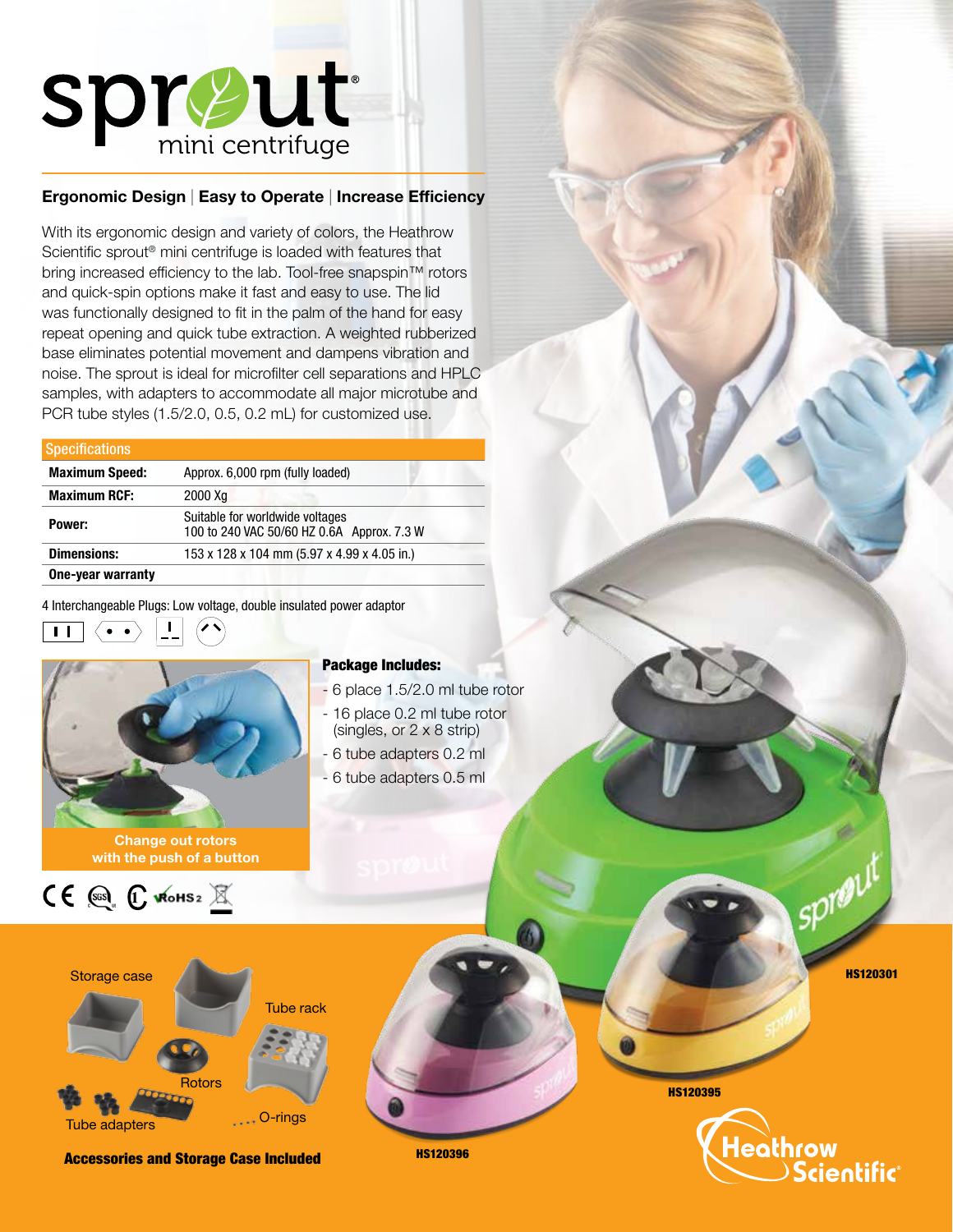

## Ergonomic Design | Easy to Operate | Increase Efficiency

With its ergonomic design and variety of colors, the Heathrow Scientific sprout® mini centrifuge is loaded with features that bring increased efficiency to the lab. Tool-free snapspin™ rotors and quick-spin options make it fast and easy to use. The lid was functionally designed to fit in the palm of the hand for easy repeat opening and quick tube extraction. A weighted rubberized base eliminates potential movement and dampens vibration and noise. The sprout is ideal for microfilter cell separations and HPLC samples, with adapters to accommodate all major microtube and PCR tube styles (1.5/2.0, 0.5, 0.2 mL) for customized use.

| <b>Specifications</b> |                                                                               |  |
|-----------------------|-------------------------------------------------------------------------------|--|
| <b>Maximum Speed:</b> | Approx. 6,000 rpm (fully loaded)                                              |  |
| <b>Maximum RCF:</b>   | 2000 Xg                                                                       |  |
| Power:                | Suitable for worldwide voltages<br>100 to 240 VAC 50/60 HZ 0.6A Approx. 7.3 W |  |
| <b>Dimensions:</b>    | 153 x 128 x 104 mm (5.97 x 4.99 x 4.05 in.)                                   |  |
| One-year warranty     |                                                                               |  |

4 Interchangeable Plugs: Low voltage, double insulated power adaptor